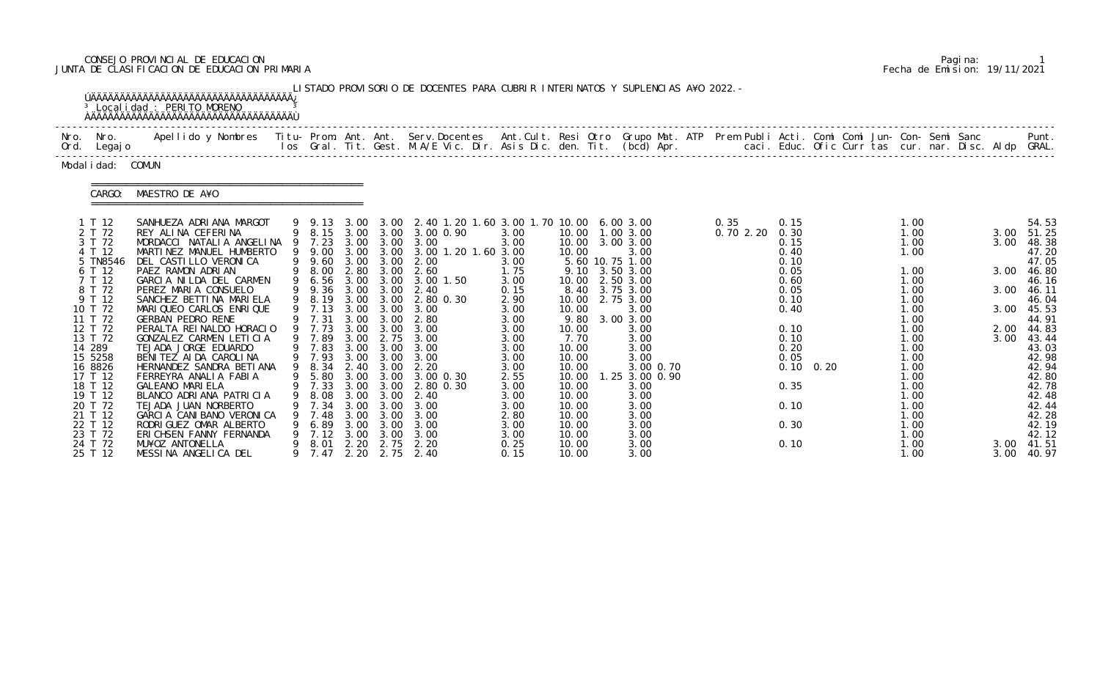# CONSEJO PROVINCIAL DE EDUCACION Pagina: 1 JUNTA DE CLASIFICACION DE EDUCACION PRIMARIA Fecha de Emision: 19/11/2021

|                                                                                                                                                          |          | <sup>3</sup> Localidad : PERITO MORENO<br><b>AAAAAAAAAAAAAAAAAAAAAAAAAAAAAAAAAAAA</b>                                                                                                                                                                                                                                                                                                                                                               |                                                                                                                                |                                                      |                                                                                                    | LISTADO PROVISORIO DE DOCENTES PARA CUBRIR INTERINATOS Y SUPLENCIAS A¥O 2022. -                                                                                                                                                                                         |                                                                                                              |                                                                                      |                                                                                                                                                                                                 |                  |                                                                                                              |                   |                                                                                                                      |  |                                                      |                                                                                                                                              |
|----------------------------------------------------------------------------------------------------------------------------------------------------------|----------|-----------------------------------------------------------------------------------------------------------------------------------------------------------------------------------------------------------------------------------------------------------------------------------------------------------------------------------------------------------------------------------------------------------------------------------------------------|--------------------------------------------------------------------------------------------------------------------------------|------------------------------------------------------|----------------------------------------------------------------------------------------------------|-------------------------------------------------------------------------------------------------------------------------------------------------------------------------------------------------------------------------------------------------------------------------|--------------------------------------------------------------------------------------------------------------|--------------------------------------------------------------------------------------|-------------------------------------------------------------------------------------------------------------------------------------------------------------------------------------------------|------------------|--------------------------------------------------------------------------------------------------------------|-------------------|----------------------------------------------------------------------------------------------------------------------|--|------------------------------------------------------|----------------------------------------------------------------------------------------------------------------------------------------------|
| Nro. Nro.<br>Ord. Legajo                                                                                                                                 |          | Apellido y Nombres  Titu- Prom. Ant. Ant.  Serv.Docentes  Ant.Cult. Resi Otro  Grupo Mat. ATP  Prem Publi Acti. Comi Comi Jun- Con- Semi Sanc              Punt.<br>Ios Gral. Tit. Gest. M.A/E Vic. Dir. Asis Dic. den. Tit. (bcd                                                                                                                                                                                                                   |                                                                                                                                |                                                      |                                                                                                    |                                                                                                                                                                                                                                                                         |                                                                                                              |                                                                                      |                                                                                                                                                                                                 |                  |                                                                                                              |                   |                                                                                                                      |  |                                                      |                                                                                                                                              |
| Modal i dad: COMUN                                                                                                                                       |          |                                                                                                                                                                                                                                                                                                                                                                                                                                                     |                                                                                                                                |                                                      |                                                                                                    |                                                                                                                                                                                                                                                                         |                                                                                                              |                                                                                      |                                                                                                                                                                                                 |                  |                                                                                                              |                   |                                                                                                                      |  |                                                      |                                                                                                                                              |
|                                                                                                                                                          | CARGO:   | MAESTRO DE A¥O                                                                                                                                                                                                                                                                                                                                                                                                                                      |                                                                                                                                |                                                      |                                                                                                    |                                                                                                                                                                                                                                                                         |                                                                                                              |                                                                                      |                                                                                                                                                                                                 |                  |                                                                                                              |                   |                                                                                                                      |  |                                                      |                                                                                                                                              |
| 1 T 12<br>2 T 72<br>3 T 72<br>4 T 12<br>6 T 12<br>7 T 12<br>8 T 72<br>9 T 12<br>10 T 72<br>11 T 72<br>12 T 72<br>13 T 72<br>14 289<br>15 5258<br>16 8826 | 5 TN8546 | SANHUEZA ADRIANA MARGOT<br>REY ALINA CEFERINA<br>MORDACCI NATALIA ANGELINA 9 7.23 3.00 3.00 3.00<br>MARTINEZ MANUEL HUMBERTO<br>DEL CASTILLO VERONICA<br>PAEZ RAMON ADRIAN<br>GARCIA NILDA DEL CARMEN<br>PEREZ MARIA CONSUELO<br>SANCHEZ BETTINA MARIELA<br>MARIQUEO CARLOS ENRIQUE<br><b>GERBAN PEDRO RENE</b><br>PERALTA REINALDO HORACIO<br>GONZALEZ CARMEN LETICIA<br>TEJADA JORGE EDUARDO<br>BENITEZ AIDA CAROLINA<br>HERNANDEZ SANDRA BETIANA | 9 9.13<br>9 9.00<br>9 8.00<br>9 6.56<br>9 8.19<br>9 7.13<br>9 7.31<br>9 7.73<br>9 7.89<br>9 7.83 3.00 3.00<br>9 7.93<br>9 8.34 | 3.00<br>3.00                                         | 2.80 3.00<br>3.00 3.00<br>3.00<br>3.00 3.00<br>3.00 3.00<br>2.75<br>$3.00 \quad 3.00$<br>2.40 3.00 | 3.00 3.00 2.40 1.20 1.60 3.00 1.70 10.00 6.00 3.00<br>9 8.15 3.00 3.00 3.00 0.90<br>3.00 3.00 3.00 1.20 1.60 3.00<br>9 9.60 3.00 3.00 2.00<br>2.60<br>3.00 1.50<br>9 9.36 3.00 3.00 2.40<br>3.00 3.00 2.80 0.30<br>3.00<br>2.80<br>3.00<br>3.00<br>3.00<br>3.00<br>2.20 | 3.00<br>3.00<br>3.00<br>1.75<br>3.00<br>0.15<br>2.90<br>3.00<br>3.00<br>3.00<br>3.00<br>3.00<br>3.00<br>3.00 | 10.00<br>10.00<br>10.00<br>10.00<br>9.80<br>10.00<br>7.70<br>10.00<br>10.00<br>10.00 | 10.00  1.00  3.00<br>10.00 3.00 3.00<br>3.00<br>5.60 10.75 1.00<br>9.10 3.50 3.00<br>2.50 3.00<br>8.40 3.75 3.00<br>2.75 3.00<br>3.00<br>3.00 3.00<br>3.00<br>3.00<br>3.00<br>3.00<br>3.00 0.70 | 0.35<br>0.702.20 | 0.15<br>0.30<br>0.15<br>0.40<br>0.10<br>0.05<br>0.60<br>0.05<br>0.10<br>0.40<br>0.10<br>0.10<br>0.20<br>0.05 | $0.10 \quad 0.20$ | 1.00<br>1.00<br>1.00<br>1.00<br>1.00<br>1.00<br>1.00<br>1.00<br>1.00<br>1.00<br>1.00<br>1.00<br>1.00<br>1.00<br>1.00 |  | 3.00<br>3.00<br>3.00<br>3.00<br>3.00<br>2.00<br>3.00 | 54.53<br>51.25<br>48.38<br>47.20<br>47.05<br>46.80<br>46.16<br>46.11<br>46.04<br>45.53<br>44.91<br>44.83<br>43.44<br>43.03<br>42.98<br>42.94 |
| 17 T 12<br>18 T 12<br>19 T 12<br>20 T 72<br>21 T 12<br>22 T 12<br>23 T 72<br>24 T 72<br>25 T 12                                                          |          | FERREYRA ANALIA FABIA<br><b>GALEANO MARIELA</b><br>BLANCO ADRIANA PATRICIA<br>TEJADA JUAN NORBERTO<br>GARCIA CANIBANO VERONICA<br>RODRIGUEZ OMAR ALBERTO<br>ERICHSEN FANNY FERNANDA<br>MU¥OZ ANTONELLA<br>MESSINA ANGELICA DEL                                                                                                                                                                                                                      | 9 7.33 3.00 3.00<br>8.08<br>7.34<br>7.48<br>6.89<br>7.12<br>8.01<br>7.47                                                       | 3.00<br>3.00<br>3.00<br>3.00<br>3.00<br>2.20<br>2.20 | 3.00<br>3.00<br>3.00<br>3.00<br>3.00<br>2.75<br>2.75                                               | 9 5.80 3.00 3.00 3.00 0.30<br>2.80 0.30<br>-2.40<br>3.00<br>3.00<br>3.00<br>3.00<br>2.20<br>2.40                                                                                                                                                                        | 2.55<br>3.00<br>3.00<br>3.00<br>2.80<br>3.00<br>3.00<br>0.25<br>0.15                                         | 10.00<br>10.00<br>10.00<br>10.00<br>10.00<br>10.00<br>10.00<br>10.00<br>10.00        | 1.25 3.00 0.90<br>3.00<br>3.00<br>3.00<br>3.00<br>3.00<br>3.00<br>3.00<br>3.00                                                                                                                  |                  | 0.35<br>0.10<br>0.30<br>0.10                                                                                 |                   | 1.00<br>1.00<br>1.00<br>1.00<br>1.00<br>1.00<br>1.00<br>1.00<br>1.00                                                 |  | 3.00<br>3.00                                         | 42.80<br>42.78<br>42.48<br>42.44<br>42.28<br>42.19<br>42.12<br>41.51<br>40.97                                                                |

|  | Pagi na: |                              |
|--|----------|------------------------------|
|  |          | Fecha de Emision: 19/11/2021 |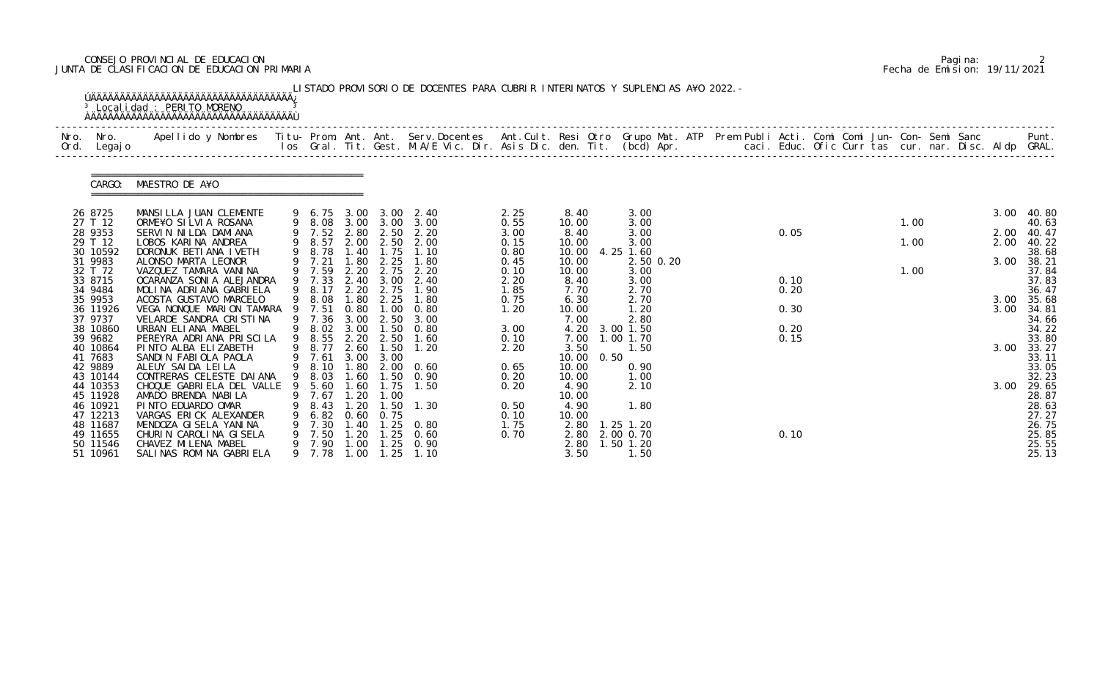# CONSEJO PROVINCIAL DE EDUCACION Pagina: 2 JUNTA DE CLASIFICACION DE EDUCACION PRIMARIA Fecha de Emision: 19/11/2021

|              |                      | <sup>3</sup> Localidad : PERITO MORENO                                                                                                                                                                                            |    |                  |                               |                   | LISTADO PROVISORIO DE DOCENTES PARA CUBRIR INTERINATOS Y SUPLENCIAS A¥O 2022. - |              |                |      |                        |  |      |  |      |  |              |                |
|--------------|----------------------|-----------------------------------------------------------------------------------------------------------------------------------------------------------------------------------------------------------------------------------|----|------------------|-------------------------------|-------------------|---------------------------------------------------------------------------------|--------------|----------------|------|------------------------|--|------|--|------|--|--------------|----------------|
| Nro.<br>Ord. | Nro.<br>Legaj o      | .Apellido y Nombres  Titu- Prom. Ant. Ant.  Serv.Docentes  Ant.Cult. Resi Otro  Grupo Mat. ATP  Prem Publi Acti. Comi Comi Jun- Con- Semi Sanc              Punt.<br>Ios Gral. Tit. Gest. M.A/E Vic. Dir. Asis Dic. den. Tit. (bc |    |                  |                               |                   |                                                                                 |              |                |      |                        |  |      |  |      |  |              |                |
|              | CARGO:               | MAESTRO DE A¥O                                                                                                                                                                                                                    |    |                  |                               |                   |                                                                                 |              |                |      |                        |  |      |  |      |  |              |                |
|              | 26 8725              | MANSILLA JUAN CLEMENTE                                                                                                                                                                                                            |    | 9 6.75           | 3.00                          | 3.00              | 2.40                                                                            | 2.25         | 8.40           |      | 3.00                   |  |      |  |      |  | 3.00         | 40.80          |
|              | 27 T 12              | ORME¥O SILVIA ROSANA                                                                                                                                                                                                              |    | 9 8.08 3.00 3.00 |                               |                   | 3.00                                                                            | 0.55         | 10.00          |      | 3.00                   |  | 0.05 |  | 1.00 |  |              | 40.63          |
|              | 28 9353<br>29 T 12   | SERVIN NILDA DAMIANA<br>LOBOS KARINA ANDREA                                                                                                                                                                                       |    | 9 7.52<br>9 8.57 | 2.80                          | 2.50<br>2.00 2.50 | 2.20<br>2.00                                                                    | 3.00<br>0.15 | 8.40<br>10.00  |      | 3.00<br>3.00           |  |      |  | 1.00 |  | 2.00<br>2.00 | 40.47<br>40.22 |
|              | 30 10592             | DORONUK BETIANA IVETH                                                                                                                                                                                                             | 9  | 8.78             | 1.40                          | 1.75              | 1.10                                                                            | 0.80         | 10.00          |      | 4.25 1.60              |  |      |  |      |  |              | 38.68          |
|              | 31 9983              | ALONSO MARTA LEONOR                                                                                                                                                                                                               |    | 9 7.21           | .80                           | 2.25              | 1.80                                                                            | 0.45         | 10.00          |      | 2.50 0.20              |  |      |  |      |  | 3.00         | 38.21          |
|              | 32 T 72              | VAZQUEZ TAMARA VANINA                                                                                                                                                                                                             |    | 9 7.59           | 2.20                          | 2.75              | 2.20                                                                            | 0.10         | 10.00          |      | 3.00                   |  |      |  | 1.00 |  |              | 37.84          |
|              | 33 8715              | OCARANZA SONI A ALEJANDRA                                                                                                                                                                                                         |    | 9 7.33           | 2.40                          | 3.00              | 2.40                                                                            | 2.20         | 8.40           |      | 3.00                   |  | 0.10 |  |      |  |              | 37.83          |
|              | 34 9484<br>35 9953   | MOLINA ADRIANA GABRIELA<br>ACOSTA GUSTAVO MARCELO                                                                                                                                                                                 |    | 9 8.17           | 2.20<br>.80                   | 2.75<br>2.25      | 1.90<br>1.80                                                                    | 1.85         | 7.70           |      | 2.70<br>2.70           |  | 0.20 |  |      |  |              | 36.47          |
|              | 36 11926             | VEGA NONQUE MARION TAMARA                                                                                                                                                                                                         |    | 8.08<br>7.51     | 0.80                          | $\overline{00}$   | 0.80                                                                            | 0.75<br>1.20 | 6.30<br>10.00  |      | 1.20                   |  | 0.30 |  |      |  | 3.00<br>3.00 | 35.68<br>34.81 |
|              | 37 9737              | VELARDE SANDRA CRISTINA                                                                                                                                                                                                           |    | 9 7.36           | 3.00                          | 2.50              | 3.00                                                                            |              | 7.00           |      | 2.80                   |  |      |  |      |  |              | 34.66          |
|              | 38 10860             | URBAN ELIANA MABEL                                                                                                                                                                                                                |    | 9 8.02           | 3.00                          | 1.50              | 0.80                                                                            | 3.00         | 4.20           |      | 3.00 1.50              |  | 0.20 |  |      |  |              | 34.22          |
|              | 39 9682              | PEREYRA ADRIANA PRISCILA                                                                                                                                                                                                          | 9  | 8.55             | 2.20                          | 2.50              | 1.60                                                                            | 0.10         | 7.00           |      | .001.70                |  | 0.15 |  |      |  |              | 33.80          |
|              | 40 10864             | PINTO ALBA ELIZABETH                                                                                                                                                                                                              |    | 8.77             | 2.60                          | 1.50              | 1.20                                                                            | 2.20         | 3.50           |      | 1. 50                  |  |      |  |      |  | 3.00         | 33.27          |
|              | 41 7683<br>42 9889   | SANDIN FABIOLA PAOLA<br>ALEUY SAIDA LEILA                                                                                                                                                                                         | 9  | 9 7.61<br>8.10   | 3.00                          | 3.00<br>1.80 2.00 | 0.60                                                                            | 0.65         | 10.00<br>10.00 | 0.50 | 0.90                   |  |      |  |      |  |              | 33.11<br>33.05 |
|              | 43 10144             | CONTRERAS CELESTE DAI ANA                                                                                                                                                                                                         |    | 9 8.03           | 1.60                          | 1.50              | 0.90                                                                            | 0.20         | 10.00          |      | 1.00                   |  |      |  |      |  |              | 32.23          |
|              | 44 10353             | CHOQUE GABRIELA DEL VALLE                                                                                                                                                                                                         |    | 9 5.60           | 1.60                          | 1.75              | 1.50                                                                            | 0.20         | 4.90           |      | 2.10                   |  |      |  |      |  |              | 3.00 29.65     |
|              | 45 11928             | AMADO BRENDA NABILA                                                                                                                                                                                                               |    | 7.67             | $\overline{\phantom{0}}$ . 20 | 1.00              |                                                                                 |              | 10.00          |      |                        |  |      |  |      |  |              | 28.87          |
|              | 46 10921             | PINTO EDUARDO OMAR                                                                                                                                                                                                                |    | 8.43             | .20                           | . 50              | 1.30                                                                            | 0.50         | 4.90           |      | 1.80                   |  |      |  |      |  |              | 28.63          |
|              | 47 12213             | VARGAS ERICK ALEXANDER                                                                                                                                                                                                            |    | 6.82             | 0. 60                         | 0.75              |                                                                                 | 0.10         | 10.00          |      |                        |  |      |  |      |  |              | 27.27          |
|              | 48 11687<br>49 11655 | MENDOZA GISELA YANINA<br>CHURIN CAROLINA GISELA                                                                                                                                                                                   |    | 7.30<br>7.50     | 1.40<br>-20                   | . 25<br>. 25      | 0. 80<br>0.60                                                                   | 1.75<br>0.70 | 2.80<br>2.80   |      | 1.25 1.20<br>2.00 0.70 |  | 0.10 |  |      |  |              | 26.75<br>25.85 |
|              | 50 11546             | CHAVEZ MI LENA MABEL                                                                                                                                                                                                              | 9. | 7.90             | 1.00                          | . 25              | 0.90                                                                            |              | 2.80           |      | $1.50$ $1.20$          |  |      |  |      |  |              | 25.55          |
|              | 51 10961             | SALINAS ROMINA GABRIELA                                                                                                                                                                                                           |    | 9 7.78           | 1.00                          | 1.25              | 1.10                                                                            |              | 3.50           |      | 1.50                   |  |      |  |      |  |              | 25.13          |

|  | Pagi na: |                              |
|--|----------|------------------------------|
|  |          | Fecha de Emision: 19/11/2021 |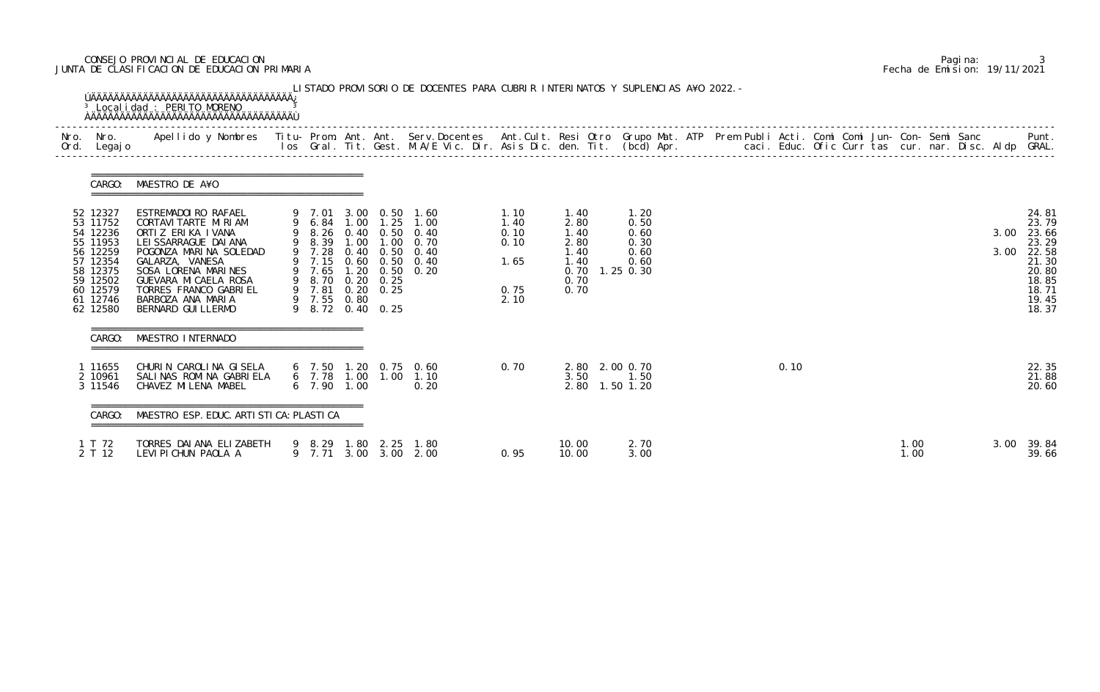# CONSEJO PROVINCIAL DE EDUCACION Pagina: 3 JUNTA DE CLASIFICACION DE EDUCACION PRIMARIA Fecha de Emision: 19/11/2021

| CARGO:                                                                                                                           | MAESTRO DE A¥O                                                                                                                                                                                                                                               |                                 |                                                          |                                                                                                                                                               |                                                      |                                                                                |                                              |  |      |  |              |  |              |                                                                                                 |
|----------------------------------------------------------------------------------------------------------------------------------|--------------------------------------------------------------------------------------------------------------------------------------------------------------------------------------------------------------------------------------------------------------|---------------------------------|----------------------------------------------------------|---------------------------------------------------------------------------------------------------------------------------------------------------------------|------------------------------------------------------|--------------------------------------------------------------------------------|----------------------------------------------|--|------|--|--------------|--|--------------|-------------------------------------------------------------------------------------------------|
| 52 12327<br>53 11752<br>54 12236<br>55 11953<br>56 12259<br>57 12354<br>58 12375<br>59 12502<br>60 12579<br>61 12746<br>62 12580 | ESTREMADOIRO RAFAEL<br>CORTAVI TARTE MI RI AM<br>ORTIZ ERIKA IVANA<br>LEI SSARRAGUE DAI ANA<br>POGONZA MARINA SOLEDAD<br>GALARZA, VANESA<br>SOSA LORENA MARINES<br>GUEVARA MI CAELA ROSA<br>TORRES FRANCO GABRIEL<br>BARBOZA ANA MARIA<br>BERNARD GUI LLERMO | 9 7.28<br>9 7.65<br>9 7.55 0.80 | 9 8.70 0.20 0.25<br>9 7.81 0.20 0.25<br>9 8.72 0.40 0.25 | 9 7.01 3.00 0.50 1.60<br>9 6.84 1.00 1.25 1.00<br>9 8.26 0.40 0.50 0.40<br>9 8.39 1.00 1.00 0.70<br>0.40 0.50 0.40<br>9 7.15 0.60 0.50 0.40<br>1.20 0.50 0.20 | 1.10<br>1.40<br>0.10<br>0.10<br>1.65<br>0.75<br>2.10 | 1.40<br>2.80<br>1.40<br>2.80<br>1.40<br>1.40<br>0.70 1.25 0.30<br>0.70<br>0.70 | 1.20<br>0.50<br>0.60<br>0.30<br>0.60<br>0.60 |  |      |  |              |  | 3.00<br>3.00 | 24.81<br>23.79<br>23.66<br>23.29<br>22.58<br>21.30<br>20.80<br>18.85<br>18.71<br>19.45<br>18.37 |
| CARGO:                                                                                                                           | MAESTRO INTERNADO                                                                                                                                                                                                                                            |                                 |                                                          |                                                                                                                                                               |                                                      |                                                                                |                                              |  |      |  |              |  |              |                                                                                                 |
| 1 11655<br>2 10961<br>3 11546                                                                                                    | CHURIN CAROLINA GISELA<br>SALINAS ROMINA GABRIELA<br>CHAVEZ MILENA MABEL                                                                                                                                                                                     | 6 7.90 1.00                     |                                                          | 6 7.50 1.20 0.75 0.60<br>6 7.78 1.00 1.00 1.10<br>0.20                                                                                                        | 0.70                                                 | 2.80 2.00 0.70<br>3.50<br>2.80 1.50 1.20                                       | 1.50                                         |  | 0.10 |  |              |  |              | 22.35<br>21.88<br>20.60                                                                         |
| CARGO:                                                                                                                           | MAESTRO ESP. EDUC. ARTI STI CA: PLASTI CA                                                                                                                                                                                                                    |                                 |                                                          |                                                                                                                                                               |                                                      |                                                                                |                                              |  |      |  |              |  |              |                                                                                                 |
| 1 T 72<br>2 T 12                                                                                                                 | TORRES DAI ANA ELIZABETH<br>LEVIPICHUN PAOLA A                                                                                                                                                                                                               |                                 | 9 8.29 1.80 2.25<br>9 7.71 3.00 3.00 2.00                | 1.80                                                                                                                                                          | 0.95                                                 | 10.00<br>10.00                                                                 | 2.70<br>3.00                                 |  |      |  | 1.00<br>1.00 |  | 3.00         | 39.84<br>39.66                                                                                  |

|  | Pagi na: |                              |
|--|----------|------------------------------|
|  |          | Fecha de Emision: 19/11/2021 |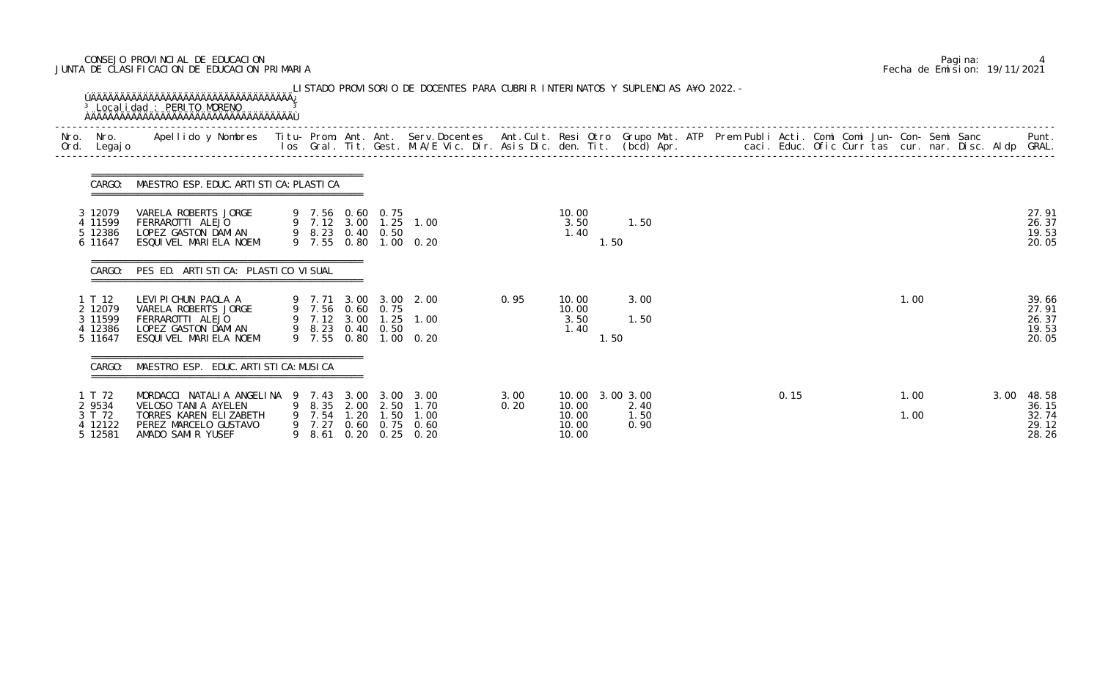# CONSEJO PROVINCIAL DE EDUCACION Pagina: 4 JUNTA DE CLASIFICACION DE EDUCACION PRIMARIA Fecha de Emision: 19/11/2021

| Nro.<br>Ord. | Nro.<br>Legaj o                                    | Apellido y Nombres  Titu- Prom. Ant. Ant.  Serv.Docentes  Ant.Cult. Resi Otro  Grupo Mat. ATP  Prem Publi Acti. Comi Comi Jun- Con- Semi Sanc                Punt.<br>Ios Gral. Tit. Gest. M.A/E Vic. Dir. Asis Dic. den. Tit. (b |        |                                        |                      |                                                    |                                                |              |                                           |                                   |  |      |  |              |      |                                           |
|--------------|----------------------------------------------------|-----------------------------------------------------------------------------------------------------------------------------------------------------------------------------------------------------------------------------------|--------|----------------------------------------|----------------------|----------------------------------------------------|------------------------------------------------|--------------|-------------------------------------------|-----------------------------------|--|------|--|--------------|------|-------------------------------------------|
|              | CARGO:                                             | MAESTRO ESP. EDUC. ARTI STI CA: PLASTI CA                                                                                                                                                                                         |        |                                        |                      |                                                    |                                                |              |                                           |                                   |  |      |  |              |      |                                           |
|              | 3 12079<br>4 11599<br>5 12386<br>6 11647           | VARELA ROBERTS JORGE<br>FERRAROTTI ALEJO<br>LOPEZ GASTON DAMIAN<br>ESQUIVEL MARIELA NOEMI                                                                                                                                         |        |                                        |                      | 9 7.56 0.60 0.75<br>9 8.23 0.40 0.50               | 9 7.12 3.00 1.25 1.00<br>9 7.55 0.80 1.00 0.20 |              | 10.00<br>3.50<br>1.40<br>1.50             | 1.50                              |  |      |  |              |      | 27.91<br>26.37<br>19.53<br>20.05          |
|              | CARGO:                                             | PES ED. ARTISTICA: PLASTICO VISUAL                                                                                                                                                                                                |        |                                        |                      |                                                    |                                                |              |                                           |                                   |  |      |  |              |      |                                           |
|              | 1 T 12<br>2 12079<br>3 11599<br>4 12386<br>5 11647 | LEVI PI CHUN PAOLA A 9 7.71 3.00 3.00 2.00<br>VARELA ROBERTS JORGE<br>FERRAROTTI ALEJO<br>LOPEZ GASTON DAMIAN<br>ESQUIVEL MARIELA NOEMI                                                                                           |        |                                        |                      | 9 7.56 0.60 0.75<br>9 8.23 0.40 0.50               | 9 7.12 3.00 1.25 1.00<br>9 7.55 0.80 1.00 0.20 | 0.95         | 10.00<br>10.00<br>3.50<br>1.40<br>1.50    | 3.00<br>1.50                      |  |      |  | 1.00         |      | 39.66<br>27.91<br>26.37<br>19.53<br>20.05 |
|              | CARGO:                                             | MAESTRO ESP. EDUC. ARTI STI CA: MUSI CA                                                                                                                                                                                           |        |                                        |                      |                                                    |                                                |              |                                           |                                   |  |      |  |              |      |                                           |
|              | T 72<br>2 9534<br>3 T 72<br>4 12122<br>5 12581     | MORDACCI NATALIA ANGELINA<br>VELOSO TANIA AYELEN<br>TORRES KAREN ELIZABETH<br>PEREZ MARCELO GUSTAVO<br>AMADO SAMIR YUSEF                                                                                                          | 9<br>9 | 7.43<br>8.35<br>7.54<br>9 7.27<br>8.61 | 3.00<br>2.00<br>1.20 | 3.00<br>2.50<br>$\overline{.50}$<br>0.60 0.75 0.60 | 3.00<br>1.70<br>1.00<br>$0.20$ $0.25$ $0.20$   | 3.00<br>0.20 | 10.00<br>10.00<br>10.00<br>10.00<br>10.00 | 3.00 3.00<br>2.40<br>1.50<br>0.90 |  | 0.15 |  | 1.00<br>1.00 | 3.00 | 48.58<br>36.15<br>32.74<br>29.12<br>28.26 |

|  | Pagi na: |                              |
|--|----------|------------------------------|
|  |          | Fecha de Emision: 19/11/2021 |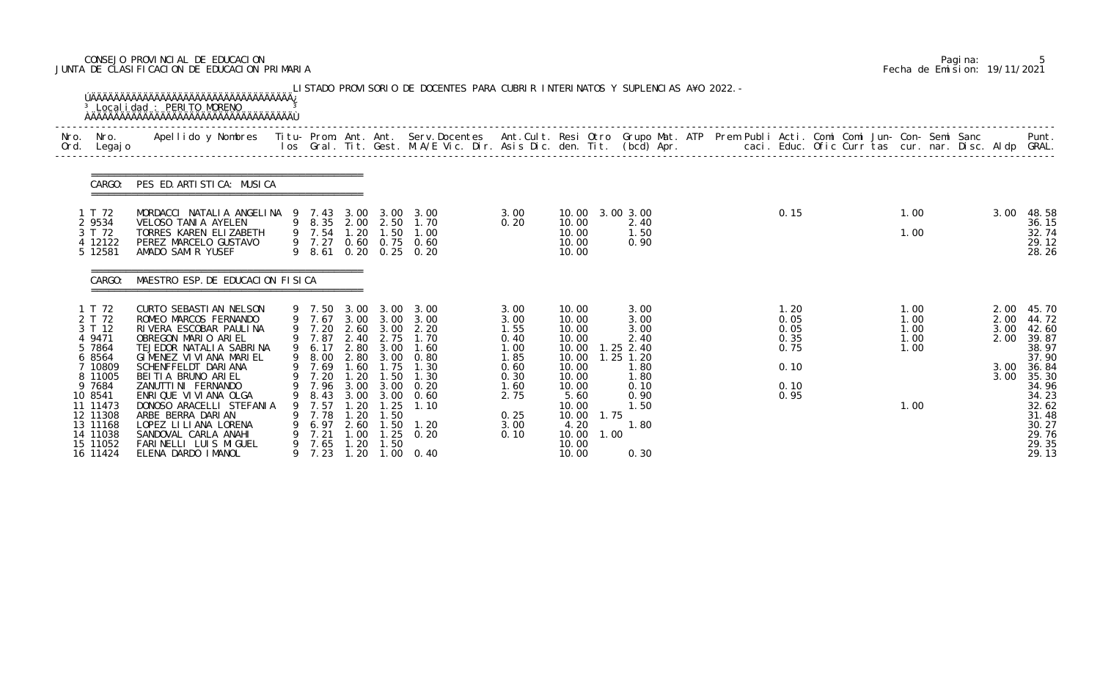# CONSEJO PROVINCIAL DE EDUCACION Pagina: 5 JUNTA DE CLASIFICACION DE EDUCACION PRIMARIA Fecha de Emision: 19/11/2021

|              |                                                                      | <sup>3</sup> Localidad : PERITO MORENO                                                                                                                   |        |                                                          |                                                         |                                                              | LISTADO PROVISORIO DE DOCENTES PARA CUBRIR INTERINATOS Y SUPLENCIAS A¥O 2022. -                                                 |                                              |                                                                   |                                                              |  |                                      |  |                                      |                      |                                                         |
|--------------|----------------------------------------------------------------------|----------------------------------------------------------------------------------------------------------------------------------------------------------|--------|----------------------------------------------------------|---------------------------------------------------------|--------------------------------------------------------------|---------------------------------------------------------------------------------------------------------------------------------|----------------------------------------------|-------------------------------------------------------------------|--------------------------------------------------------------|--|--------------------------------------|--|--------------------------------------|----------------------|---------------------------------------------------------|
| Nro.<br>Ord. | Nro.<br>Legaj o                                                      | Apellido y Nombres - Titu- Prom. Ant. Ant. Serv.Docentes - Ant.Cult. Resi Otro Grupo Mat. ATP - Prem Publi Acti. Comi Comi Jun- Con- Semi Sanc           |        |                                                          |                                                         |                                                              | los Gral. Tit. Gest. M.A/E Vic. Dir. Asis Dic. den. Tit. (bcd) Apr.        caci. Educ. Ofic Curr tas cur. nar. Disc. Aldp GRAL. |                                              |                                                                   |                                                              |  |                                      |  |                                      |                      | Punt.                                                   |
|              | CARGO:                                                               | PES ED. ARTISTICA: MUSICA                                                                                                                                |        |                                                          |                                                         |                                                              |                                                                                                                                 |                                              |                                                                   |                                                              |  |                                      |  |                                      |                      |                                                         |
|              | 1 T 72                                                               | MORDACCI NATALIA ANGELINA 9 7.43                                                                                                                         |        |                                                          |                                                         | 3.00 3.00                                                    | 3.00                                                                                                                            | 3.00                                         | 10.00 3.00 3.00                                                   |                                                              |  | 0.15                                 |  | 1.00                                 | 3.00                 | 48.58                                                   |
|              | 2 9534<br>3 T 72<br>4 12122<br>5 12581                               | VELOSO TANIA AYELEN<br>TORRES KAREN ELIZABETH<br>PEREZ MARCELO GUSTAVO<br>AMADO SAMIR YUSEF                                                              |        | 9 8.35 2.00 2.50<br>9 7.54<br>9 7.27                     | 1.20                                                    | 1.50                                                         | 1.70<br>1.00<br>0.60 0.75 0.60<br>9 8.61 0.20 0.25 0.20                                                                         | 0.20                                         | 10.00<br>10.00<br>10.00<br>10.00                                  | 2.40<br>1.50<br>0.90                                         |  |                                      |  | 1.00                                 |                      | 36.15<br>32.74<br>29.12<br>28.26                        |
|              | CARGO:                                                               | MAESTRO ESP. DE EDUCACION FISICA                                                                                                                         |        |                                                          |                                                         |                                                              |                                                                                                                                 |                                              |                                                                   |                                                              |  |                                      |  |                                      |                      |                                                         |
|              | 1 T 72<br>2 T 72<br>3 T 12<br>4 9471<br>5 7864<br>6 8564             | CURTO SEBASTI AN NELSON<br>ROMEO MARCOS FERNANDO<br>RIVERA ESCOBAR PAULINA<br>OBREGON MARIO ARIEL<br>TEJEDOR NATALIA SABRINA<br>GIMENEZ VI VI ANA MARIEL |        | 9 7.50<br>9 7.67<br>9 7.20<br>9 7.87<br>9 6.17<br>9 8.00 | 3.00<br>2.40<br>2.80                                    | 2.60 3.00<br>2.75<br>3.00<br>2.80 3.00                       | 3.00 3.00<br>3.00 3.00 3.00<br>2.20<br>1.70<br>1.60<br>0.80                                                                     | 3.00<br>3.00<br>1.55<br>0.40<br>1.00<br>1.85 | 10.00<br>10.00<br>10.00<br>10.00<br>10.00<br>10.00                | 3.00<br>3.00<br>3.00<br>2.40<br>$1.25$ 2.40<br>$1.25$ $1.20$ |  | 1.20<br>0.05<br>0.05<br>0.35<br>0.75 |  | 1.00<br>1.00<br>1.00<br>1.00<br>1.00 | 2.00<br>3.00<br>2.00 | 2.00 45.70<br>44.72<br>42.60<br>39.87<br>38.97<br>37.90 |
|              | 7 10809<br>8 11005<br>9 7684<br>10 8541                              | SCHENFFELDT DARIANA<br>BEITIA BRUNO ARIEL<br>ZANUTTI NI FERNANDO<br>ENRIQUE VI VI ANA OLGA                                                               |        | 9 7.69<br>9 7.20<br>9 7.96 3.00 3.00<br>8.43             | 1.60<br>1.20<br>3.00                                    | 1.75<br>1.50<br>3.00                                         | 1.30<br>1.30<br>0.20<br>0. 60                                                                                                   | 0.60<br>0.30<br>1.60<br>2.75                 | 10.00<br>10.00<br>10.00<br>5.60                                   | 1.80<br>1.80<br>0.10<br>0.90                                 |  | 0.10<br>0.10<br>0.95                 |  |                                      | 3.00<br>3.00         | 36.84<br>35.30<br>34.96<br>34.23                        |
|              | 11 11473<br>12 11308<br>13 11168<br>14 11038<br>15 11052<br>16 11424 | DONOSO ARACELLI STEFANIA<br>ARBE BERRA DARIAN<br>LOPEZ LI LI ANA LORENA<br>SANDOVAL CARLA ANAHI<br>FARINELLI LUIS MIGUEL<br>ELENA DARDO IMANOL           | 9<br>9 | 7.57<br>7.78<br>6.97<br>7.21<br>7.65<br>7.23             | -20<br>. 20<br>2.60<br>.00 <sub>1</sub><br>1.20<br>1.20 | .25<br>l. 50<br>.50<br>$\overline{\phantom{0}}$ . 25<br>1.50 | 1.10<br>1.20<br>0.20<br>$1.00 \t 0.40$                                                                                          | 0.25<br>3.00<br>0.10                         | 10.00<br>1.75<br>10.00<br>4.20<br>10.00<br>1.00<br>10.00<br>10.00 | 1.50<br>1.80<br>0.30                                         |  |                                      |  | 1.00                                 |                      | 32.62<br>31.48<br>30.27<br>29.76<br>29.35<br>29.13      |

|  | Pagi na: |                              |
|--|----------|------------------------------|
|  |          | Fecha de Emision: 19/11/2021 |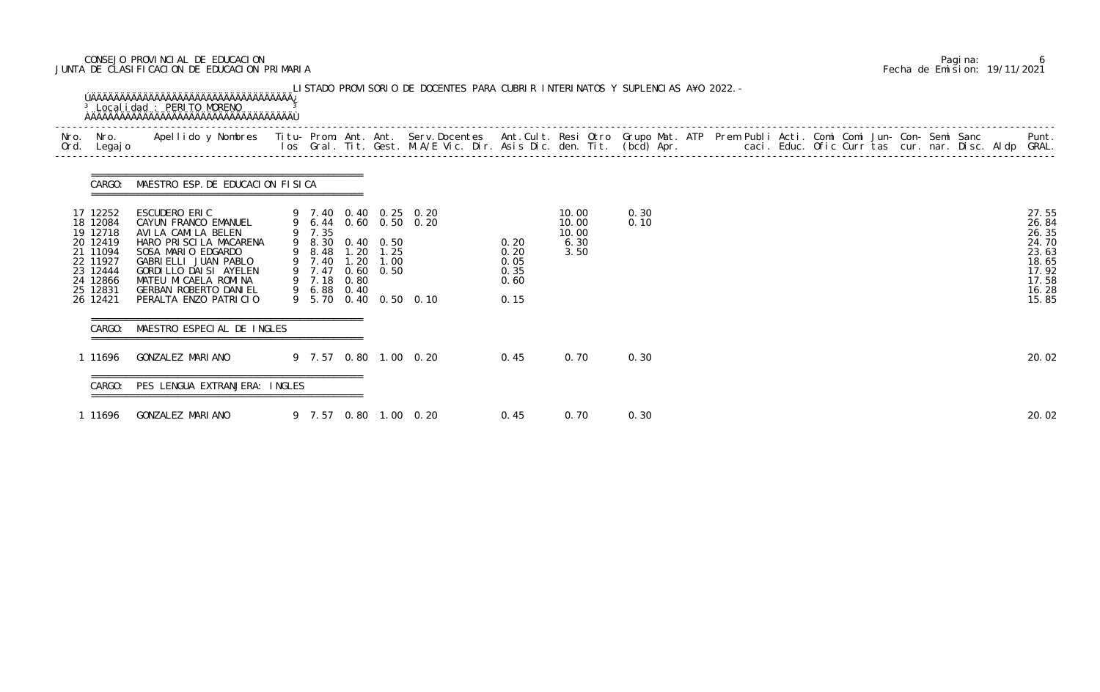# CONSEJO PROVINCIAL DE EDUCACION Pagina: 6 JUNTA DE CLASIFICACION DE EDUCACION PRIMARIA Fecha de Emision: 19/11/2021

| Nro.<br>Ord. | Nro.<br>Legaj o                                                                                                      | Apellido y Nombres - Titu- Prom. Ant. Ant. Serv.Docentes - Ant.Cult. Resi Otro Grupo Mat. ATP Prem Publi Acti. Comi Comi Jun- Con- Semi Sanc - - - Punt.<br>Ios Gral. Tit. Gest. M.A/E Vic. Dir. Asis Dic. den. Tit. (bcd) Apr. -           |                                                          |                      |                                                               |                                                                         |                                              |                                         |              |  |  |  |  |                                                                                        |
|--------------|----------------------------------------------------------------------------------------------------------------------|---------------------------------------------------------------------------------------------------------------------------------------------------------------------------------------------------------------------------------------------|----------------------------------------------------------|----------------------|---------------------------------------------------------------|-------------------------------------------------------------------------|----------------------------------------------|-----------------------------------------|--------------|--|--|--|--|----------------------------------------------------------------------------------------|
|              | CARGO:                                                                                                               | MAESTRO ESP. DE EDUCACION FISICA                                                                                                                                                                                                            |                                                          |                      |                                                               |                                                                         |                                              |                                         |              |  |  |  |  |                                                                                        |
|              | 17 12252<br>18 12084<br>19 12718<br>20 12419<br>21 11094<br>22 11927<br>23 12444<br>24 12866<br>25 12831<br>26 12421 | ESCUDERO ERIC<br>CAYUN FRANCO EMANUEL<br>AVI LA CAMI LA BELEN<br>HARO PRISCILA MACARENA<br>SOSA MARIO EDGARDO<br>GABRIELLI JUAN PABLO<br>GORDI LLO DAI SI AYELEN<br>MATEU MI CAELA ROMINA<br>GERBAN ROBERTO DANIEL<br>PERALTA ENZO PATRICIO | 9 7.35<br>$9 \t 8.48$<br>$9 \t 7.40$<br>9 7.18<br>9 6.88 | 1.20<br>0.80<br>0.40 | 9 8.30 0.40 0.50<br>$1.20$ $1.25$<br>1.00<br>9 7.47 0.60 0.50 | 9 7.40 0.40 0.25 0.20<br>9 6.44 0.60 0.50 0.20<br>9 5.70 0.40 0.50 0.10 | 0.20<br>0.20<br>0.05<br>0.35<br>0.60<br>0.15 | 10.00<br>10.00<br>10.00<br>6.30<br>3.50 | 0.30<br>0.10 |  |  |  |  | 27.55<br>26.84<br>26.35<br>24.70<br>23.63<br>18.65<br>17.92<br>17.58<br>16.28<br>15.85 |
|              | CARGO:                                                                                                               | MAESTRO ESPECIAL DE INGLES                                                                                                                                                                                                                  |                                                          |                      |                                                               |                                                                         |                                              |                                         |              |  |  |  |  |                                                                                        |
|              | 1 11696                                                                                                              | GONZALEZ MARIANO                                                                                                                                                                                                                            |                                                          |                      |                                                               | 9 7.57 0.80 1.00 0.20                                                   | 0.45                                         | 0.70                                    | 0.30         |  |  |  |  | 20.02                                                                                  |
|              |                                                                                                                      | CARGO: PES LENGUA EXTRANJERA: INGLES                                                                                                                                                                                                        |                                                          |                      |                                                               |                                                                         |                                              |                                         |              |  |  |  |  |                                                                                        |
|              | 1 11696                                                                                                              | GONZALEZ MARIANO                                                                                                                                                                                                                            |                                                          |                      |                                                               | 9 7.57 0.80 1.00 0.20                                                   | 0.45                                         | 0.70                                    | 0.30         |  |  |  |  | 20.02                                                                                  |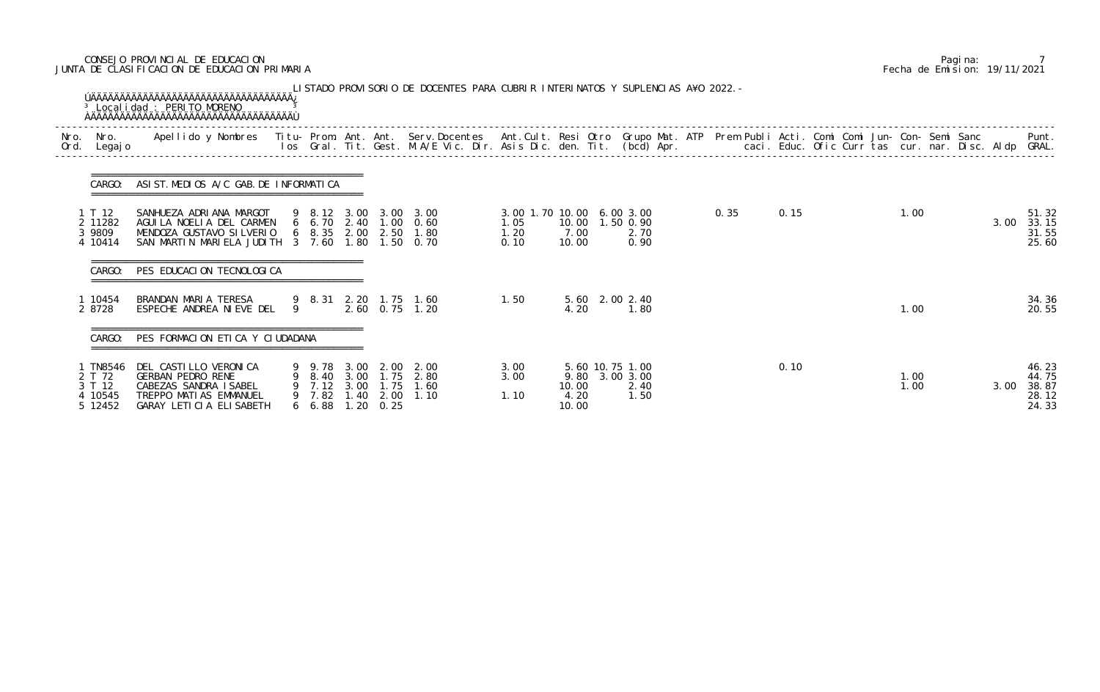# CONSEJO PROVINCIAL DE EDUCACION Pagina: 7 JUNTA DE CLASIFICACION DE EDUCACION PRIMARIA Fecha de Emision: 19/11/2021

| Nro.<br>Ord. | Nro.<br>Legaj o                                  | Apellido y Nombres Titu- Prom. Ant. Ant. Serv.Docentes Ant.Cult. Resi Otro Grupo Mat. ATP Prem Publi Acti. Comi Comi Jun- Con- Semi Sanc |   |                                     |                                  | los Gral. Tit. Gest. M.A/E Vic. Dir. Asis Dic. den. Tit. (bcd) Apr.      |                                                   |                        |                                                   |  |      |      |  | caci. Educ. Ofic Curr tas cur. nar. Disc. Aldp GRAL. |      | Punt.                                     |
|--------------|--------------------------------------------------|------------------------------------------------------------------------------------------------------------------------------------------|---|-------------------------------------|----------------------------------|--------------------------------------------------------------------------|---------------------------------------------------|------------------------|---------------------------------------------------|--|------|------|--|------------------------------------------------------|------|-------------------------------------------|
|              | CARGO:                                           | ASIST. MEDIOS A/C GAB. DE INFORMATICA                                                                                                    |   |                                     |                                  |                                                                          |                                                   |                        |                                                   |  |      |      |  |                                                      |      |                                           |
|              | 1 T 12<br>2 11282<br>3 9809<br>4 10414           | SANHUEZA ADRIANA MARGOT<br>AGUILA NOELIA DEL CARMEN<br>MENDOZA GUSTAVO SILVERIO<br>SAN MARTIN MARIELA JUDITH 3 7.60 1.80                 |   | $6\quad 8.35\quad 2.00$             |                                  | 9 8.12 3.00 3.00 3.00<br>6 6.70 2.40 1.00 0.60<br>2.50 1.80<br>1.50 0.70 | 3.00 1.70 10.00 6.00 3.00<br>1.05<br>1.20<br>0.10 | 7.00<br>10.00          | 10.00  1.50  0.90<br>2.70<br>0.90                 |  | 0.35 | 0.15 |  | 1.00                                                 | 3.00 | 51.32<br>33.15<br>31.55<br>25.60          |
|              | CARGO:                                           | =====================================<br>PES EDUCACION TECNOLOGICA                                                                       |   |                                     |                                  |                                                                          |                                                   |                        |                                                   |  |      |      |  |                                                      |      |                                           |
|              | 1 10454<br>2 8728                                | BRANDAN MARIA TERESA<br>ESPECHE ANDREA NIEVE DEL                                                                                         | 9 |                                     |                                  | 9 8.31 2.20 1.75 1.60<br>2.60 0.75 1.20                                  | 1.50                                              | 4.20                   | 5.60 2.00 2.40<br>1.80                            |  |      |      |  | 1.00                                                 |      | 34.36<br>20.55                            |
|              | CARGO:                                           | PES FORMACION ETICA Y CIUDADANA                                                                                                          |   |                                     |                                  |                                                                          |                                                   |                        |                                                   |  |      |      |  |                                                      |      |                                           |
|              | TN8546<br>2 T 72<br>3 T 12<br>4 10545<br>5 12452 | DEL CASTILLO VERONICA<br><b>GERBAN PEDRO RENE</b><br>CABEZAS SANDRA ISABEL<br>TREPPO MATIAS EMMANUEL<br>GARAY LETICIA ELISABETH          |   | 9 7.12 3.00 1.75<br>9 7.82<br>66.88 | $1.40\quad 2.00$<br>1, 20, 0, 25 | 9 9.78 3.00 2.00 2.00<br>9 8.40 3.00 1.75 2.80<br>1.60<br>1.10           | 3.00<br>3.00<br>1.10                              | 10.00<br>4.20<br>10.00 | 5.60 10.75 1.00<br>9.80 3.00 3.00<br>2.40<br>1.50 |  |      | 0.10 |  | 1.00<br>1.00                                         | 3.00 | 46.23<br>44.75<br>38.87<br>28.12<br>24.33 |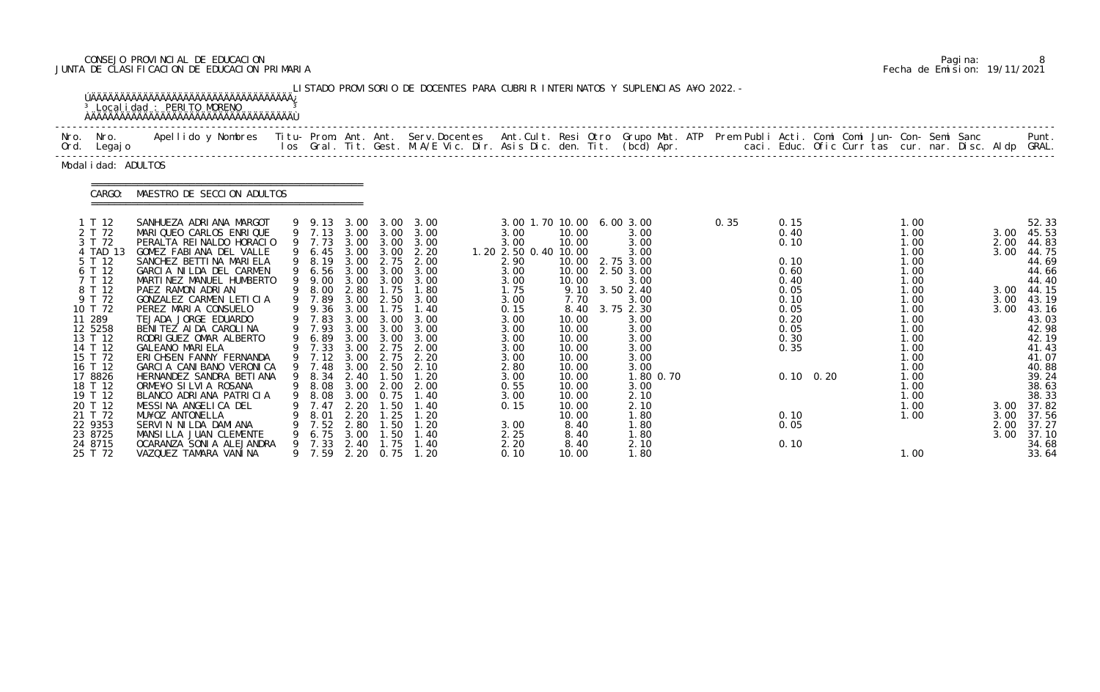# CONSEJO PROVINCIAL DE EDUCACION Pagina: 8 JUNTA DE CLASIFICACION DE EDUCACION PRIMARIA Fecha de Emision: 19/11/2021

|              |                                                                                                                                                                           | <sup>3</sup> Localidad : PERITO MORENO<br><b>AAAAAAAAAAAAAAAAAAAAAAAAAAAAAAAAAAAA</b>                                                                                                                                                                                                                                                                                                                                             |        |                                                                                                                                                |                                                                                                                              |                                                                                                                              | LISTADO PROVISORIO DE DOCENTES PARA CUBRIR INTERINATOS Y SUPLENCIAS A¥O 2022. -                                              |                                                                                                                                                             |                                                                                                                         |                                                                                                                                                      |                                                |                                                                                                      |                   |                                                                                                                              |  |                                              |                                                                                                                                              |
|--------------|---------------------------------------------------------------------------------------------------------------------------------------------------------------------------|-----------------------------------------------------------------------------------------------------------------------------------------------------------------------------------------------------------------------------------------------------------------------------------------------------------------------------------------------------------------------------------------------------------------------------------|--------|------------------------------------------------------------------------------------------------------------------------------------------------|------------------------------------------------------------------------------------------------------------------------------|------------------------------------------------------------------------------------------------------------------------------|------------------------------------------------------------------------------------------------------------------------------|-------------------------------------------------------------------------------------------------------------------------------------------------------------|-------------------------------------------------------------------------------------------------------------------------|------------------------------------------------------------------------------------------------------------------------------------------------------|------------------------------------------------|------------------------------------------------------------------------------------------------------|-------------------|------------------------------------------------------------------------------------------------------------------------------|--|----------------------------------------------|----------------------------------------------------------------------------------------------------------------------------------------------|
| Nro.<br>Ord. | Nro.<br>Legaj o                                                                                                                                                           | Apellido y Nombres - Titu- Prom. Ant. Ant. Serv.Docentes - Ant.Cult. Resi Otro Grupo Mat. ATP - Prem Publi Acti. Comi Comi Jun- Con- Semi Sanc                                                                                                                                                                                                                                                                                    |        |                                                                                                                                                |                                                                                                                              |                                                                                                                              | los Gral. Tit. Gest. M.A/E Vic. Dir. Asis Dic. den. Tit. (bcd) Apr.                                                          |                                                                                                                                                             |                                                                                                                         |                                                                                                                                                      | caci. Educ. Ofic Curr tas cur. nar. Disc. Aldp |                                                                                                      |                   |                                                                                                                              |  |                                              | Punt.<br>GRAL.                                                                                                                               |
|              | Modal i dad: ADULTOS                                                                                                                                                      |                                                                                                                                                                                                                                                                                                                                                                                                                                   |        |                                                                                                                                                |                                                                                                                              |                                                                                                                              |                                                                                                                              |                                                                                                                                                             |                                                                                                                         |                                                                                                                                                      |                                                |                                                                                                      |                   |                                                                                                                              |  |                                              |                                                                                                                                              |
|              | CARGO:                                                                                                                                                                    | MAESTRO DE SECCION ADULTOS                                                                                                                                                                                                                                                                                                                                                                                                        |        |                                                                                                                                                |                                                                                                                              |                                                                                                                              |                                                                                                                              |                                                                                                                                                             |                                                                                                                         |                                                                                                                                                      |                                                |                                                                                                      |                   |                                                                                                                              |  |                                              |                                                                                                                                              |
|              | 1 T 12<br>2 T 72<br>3 T 72<br><b>TAD 13</b><br>5 T 12<br>6 T 12<br>7 T 12<br>8 T 12<br>9 T 72<br>10 T 72<br>11 289<br>12 5258<br>13 T 12<br>14 T 12<br>15 T 72<br>16 T 12 | SANHUEZA ADRIANA MARGOT<br>MARIQUEO CARLOS ENRIQUE<br>PERALTA REINALDO HORACIO<br>GOMEZ FABIANA DEL VALLE<br>SANCHEZ BETTI NA MARI ELA<br>GARCIA NILDA DEL CARMEN<br>MARTINEZ MANUEL HUMBERTO<br>PAEZ RAMON ADRIAN<br>GONZALEZ CARMEN LETICIA<br>PEREZ MARIA CONSUELO<br>TEJADA JORGE EDUARDO<br>BENITEZ AIDA CAROLINA<br>RODRIGUEZ OMAR ALBERTO<br><b>GALEANO MARIELA</b><br>ERICHSEN FANNY FERNANDA<br>GARCIA CANIBANO VERONICA |        | 9 9.13<br>9 7.13<br>9 7.73<br>6.45<br>9 8.19<br>6.56<br>9.00<br>8.00<br>7.89<br>9.36<br>9 7.83<br>9 7.93<br>6.89<br>7.33<br>$9$ 7.12<br>9 7.48 | 3.00<br>3.00<br>3.00<br>3.00<br>3.00<br>3.00<br>3.00<br>2.80<br>3.00<br>3.00<br>3.00<br>3.00<br>3.00<br>3.00<br>3.00<br>3.00 | 3.00<br>3.00<br>3.00<br>3.00<br>2.75<br>3.00<br>3.00<br>1.75<br>2.50<br>1.75<br>3.00<br>3.00<br>3.00<br>2.75<br>2.75<br>2.50 | 3.00<br>3.00<br>3.00<br>2.20<br>2.00<br>3.00<br>3.00<br>1.80<br>3.00<br>1.40<br>3.00<br>3.00<br>3.00<br>2.00<br>2.20<br>2.10 | 3.00 1.70 10.00<br>3.00<br>3.00<br>1. 20 2. 50 0. 40 10. 00<br>2.90<br>3.00<br>3.00<br>1.75<br>3.00<br>0.15<br>3.00<br>3.00<br>3.00<br>3.00<br>3.00<br>2.80 | 10.00<br>10.00<br>10.00<br>10.00<br>10.00<br>9.10<br>7.70<br>8.40<br>10.00<br>10.00<br>10.00<br>10.00<br>10.00<br>10.00 | 6.003.00<br>3.00<br>3.00<br>3.00<br>2.75 3.00<br>2.50 3.00<br>3.00<br>3.50 2.40<br>3.00<br>3.75 2.30<br>3.00<br>3.00<br>3.00<br>3.00<br>3.00<br>3.00 | 0.35                                           | 0.15<br>0.40<br>0.10<br>0.10<br>0.60<br>0.40<br>0.05<br>0.10<br>0.05<br>0.20<br>0.05<br>0.30<br>0.35 |                   | 1.00<br>1.00<br>1.00<br>1.00<br>1.00<br>1.00<br>1.00<br>1.00<br>1.00<br>1.00<br>1.00<br>1.00<br>1.00<br>1.00<br>1.00<br>1.00 |  | 3.00<br>2.00<br>3.00<br>3.00<br>3.00<br>3.00 | 52.33<br>45.53<br>44.83<br>44.75<br>44.69<br>44.66<br>44.40<br>44.15<br>43.19<br>43.16<br>43.03<br>42.98<br>42.19<br>41.43<br>41.07<br>40.88 |
|              | 17 8826<br>18 T 12<br>19 T 12<br>20 T 12<br>21 T 72<br>22 9353<br>23 8725<br>24 8715<br>25 T 72                                                                           | HERNANDEZ SANDRA BETI ANA<br>ORME¥O SILVIA ROSANA<br>BLANCO ADRIANA PATRICIA<br>MESSINA ANGELICA DEL<br>MU¥OZ ANTONELLA<br>SERVIN NILDA DAMIANA<br>MANSILLA JUAN CLEMENTE<br>OCARANZA SONI A ALEJANDRA<br>VAZQUEZ TAMARA VANINA                                                                                                                                                                                                   | 9<br>9 | 9 8.34<br>8.08<br>8.08<br>7.47<br>8.01<br>7.52<br>6.75<br>7.33<br>9 7.59                                                                       | 2.40<br>3.00<br>3.00<br>2.20<br>2.20<br>2.80<br>3.00<br>2.40<br>2.20                                                         | 1.50<br>2.00<br>0. 75<br>. 50<br>1.25<br>. 50<br>1.50<br>1.75<br>0.75                                                        | 1.20<br>2.00<br>1.40<br>1.20<br>1.20<br>1.40<br>1. 40<br>1.20                                                                | 3.00<br>0.55<br>3.00<br>0.15<br>3.00<br>2.25<br>2.20<br>0.10                                                                                                | 10.00<br>10.00<br>10.00<br>10.00<br>10.00<br>8.40<br>8.40<br>8.40<br>10.00                                              | 1.80 0.70<br>3.00<br>2.10<br>2.10<br>1.80<br>1.80<br>1.80<br>2.10<br>1.80                                                                            |                                                | 0.10<br>0.05<br>0.10                                                                                 | $0.10 \quad 0.20$ | $\overline{0}$ .<br>1.00<br>1.00<br>1.00<br>1.00<br>1.00                                                                     |  | 3.00<br>3.00<br>2.00<br>3.00                 | 39.24<br>38.63<br>38.33<br>37.82<br>37.56<br>37.27<br>37.10<br>34.68<br>33.64                                                                |

|  | Pagi na: |                              |
|--|----------|------------------------------|
|  |          | Fecha de Emision: 19/11/2021 |